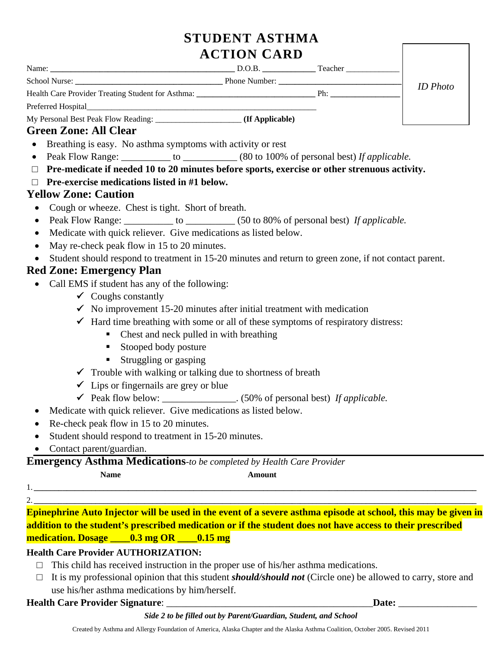# **STUDENT ASTHMA ACTION CARD**

| Name:                                                                            | D.O.B.          | Teacher |                 |  |
|----------------------------------------------------------------------------------|-----------------|---------|-----------------|--|
|                                                                                  | Phone Number:   |         | <b>ID</b> Photo |  |
| Health Care Provider Treating Student for Asthma: ______________________________ |                 | Ph:     |                 |  |
| Preferred Hospital                                                               |                 |         |                 |  |
|                                                                                  | (If Applicable) |         |                 |  |
| <b>Green Zone: All Clear</b>                                                     |                 |         |                 |  |

- Breathing is easy. No asthma symptoms with activity or rest
- Peak Flow Range: \_\_\_\_\_\_\_\_\_\_ to \_\_\_\_\_\_\_\_\_\_ (80 to 100% of personal best) *If applicable*.
- □ **Pre-medicate if needed 10 to 20 minutes before sports, exercise or other strenuous activity.**
- □ **Pre-exercise medications listed in #1 below.**

## **Yellow Zone: Caution**

- Cough or wheeze. Chest is tight. Short of breath.
- Peak Flow Range: \_\_\_\_\_\_\_\_\_\_\_ to \_\_\_\_\_\_\_\_\_\_ (50 to 80% of personal best) *If applicable*.
- Medicate with quick reliever. Give medications as listed below.
- May re-check peak flow in 15 to 20 minutes.
- Student should respond to treatment in 15-20 minutes and return to green zone, if not contact parent.

# **Red Zone: Emergency Plan**

- Call EMS if student has any of the following:
	- $\checkmark$  Coughs constantly
	- $\checkmark$  No improvement 15-20 minutes after initial treatment with medication
	- $\checkmark$  Hard time breathing with some or all of these symptoms of respiratory distress:
		- Chest and neck pulled in with breathing
			- **Stooped body posture**
			- **Struggling or gasping**
	- $\checkmark$  Trouble with walking or talking due to shortness of breath
	- $\checkmark$  Lips or fingernails are grey or blue
	- Peak flow below: \_\_\_\_\_\_\_\_\_\_\_\_\_\_\_. (50% of personal best) *If applicable.*
- Medicate with quick reliever. Give medications as listed below.
- Re-check peak flow in 15 to 20 minutes.
- Student should respond to treatment in 15-20 minutes.
- Contact parent/guardian.

**Emergency Asthma Medications***-to be completed by Health Care Provider*

- **Name Amount** 
	-
- 1. **\_\_\_\_\_\_\_\_\_\_\_\_\_\_\_\_\_\_\_\_\_\_\_\_\_\_\_\_\_\_\_\_\_\_\_\_\_\_\_\_\_\_\_\_\_\_\_\_\_\_\_\_\_\_\_\_\_\_\_\_\_\_\_\_\_\_\_\_\_\_\_\_\_\_\_\_\_\_\_\_\_\_\_\_\_\_\_\_\_\_\_\_\_\_\_\_\_\_\_\_\_\_\_\_\_\_\_\_** 2. **\_\_\_\_\_\_\_\_\_\_\_\_\_\_\_\_\_\_\_\_\_\_\_\_\_\_\_\_\_\_\_\_\_\_\_\_\_\_\_\_\_\_\_\_\_\_\_\_\_\_\_\_\_\_\_\_\_\_\_\_\_\_\_\_\_\_\_\_\_\_\_\_\_\_\_\_\_\_\_\_\_\_\_\_\_\_\_\_\_\_\_\_\_\_\_\_\_\_\_\_\_\_\_\_\_\_\_\_**

**Epinephrine Auto Injector will be used in the event of a severe asthma episode at school, this may be given in addition to the student's prescribed medication or if the student does not have access to their prescribed medication. Dosage \_\_\_\_0.3 mg OR \_\_\_\_0.15 mg** 

### **Health Care Provider AUTHORIZATION:**

- $\Box$  This child has received instruction in the proper use of his/her asthma medications.
- □ It is my professional opinion that this student *should/should not* (Circle one) be allowed to carry, store and use his/her asthma medications by him/herself.

#### **Health Care Provider Signature**: \_\_\_\_\_\_\_\_\_\_\_\_\_\_\_\_\_\_\_\_\_\_\_\_\_\_\_\_\_\_\_\_\_\_\_\_\_\_\_\_\_\_**Date:** \_\_\_\_\_\_\_\_\_\_\_\_\_\_\_\_